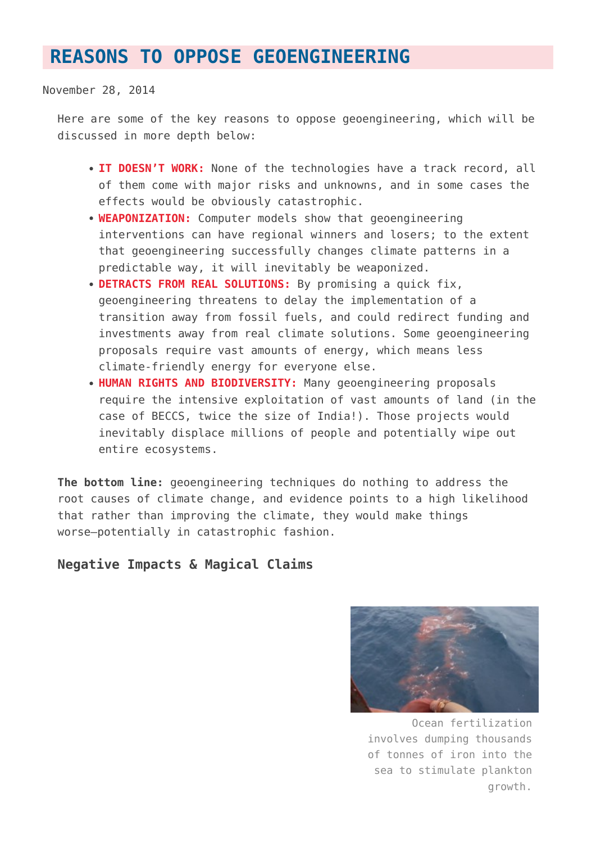# **[REASONS TO OPPOSE GEOENGINEERING](https://www.geoengineeringmonitor.org/reasons-to-oppose/)**

November 28, 2014

Here are some of the key reasons to oppose geoengineering, which will be discussed in more depth below:

- **IT DOESN'T WORK:** None of the technologies have a track record, all of them come with major risks and unknowns, and in some cases the effects would be obviously catastrophic.
- **WEAPONIZATION:** Computer models show that geoengineering interventions can have regional winners and losers; to the extent that geoengineering successfully changes climate patterns in a predictable way, it will inevitably be weaponized.
- **DETRACTS FROM REAL SOLUTIONS:** By promising a quick fix, geoengineering threatens to delay the implementation of a transition away from fossil fuels, and could redirect funding and investments away from real climate solutions. Some geoengineering proposals require vast amounts of energy, which means less climate-friendly energy for everyone else.
- **HUMAN RIGHTS AND BIODIVERSITY:** Many geoengineering proposals require the intensive exploitation of vast amounts of land (in the case of BECCS, twice the size of India!). Those projects would inevitably displace millions of people and potentially wipe out entire ecosystems.

**The bottom line:** geoengineering techniques do nothing to address the root causes of climate change, and evidence points to a high likelihood that rather than improving the climate, they would make things worse—potentially in catastrophic fashion.

## **Negative Impacts & Magical Claims**



Ocean fertilization involves dumping thousands of tonnes of iron into the sea to stimulate plankton growth.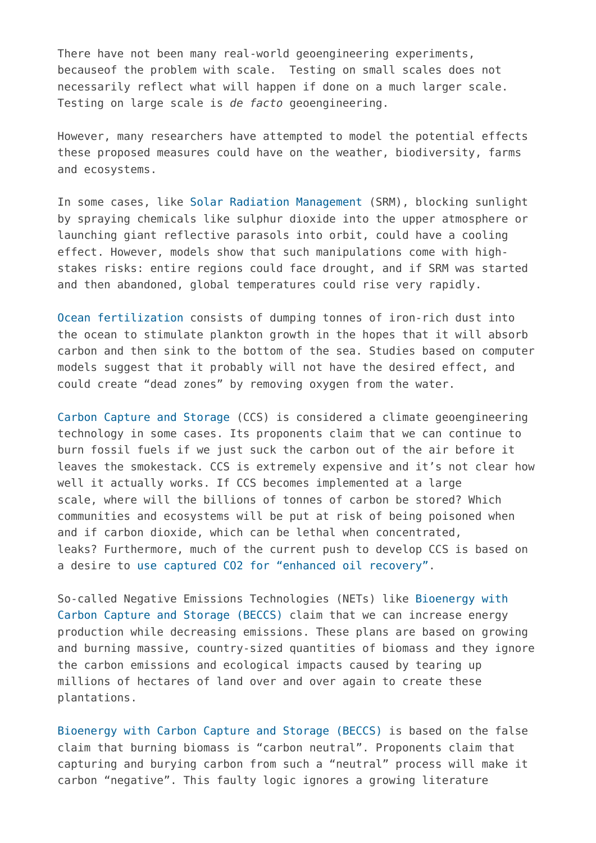There have not been many real-world geoengineering experiments, becauseof the problem with scale. Testing on small scales does not necessarily reflect what will happen if done on a much larger scale. Testing on large scale is *de facto* geoengineering.

However, many researchers have attempted to model the potential effects these proposed measures could have on the weather, biodiversity, farms and ecosystems.

In some cases, like [Solar Radiation Management](https://www.geoengineeringmonitor.org/technologies#srm) (SRM), blocking sunlight by spraying chemicals like sulphur dioxide into the upper atmosphere or launching giant reflective parasols into orbit, could have a cooling effect. However, models show that such manipulations come with highstakes risks: entire regions could face drought, and if SRM was started and then abandoned, global temperatures could rise very rapidly.

[Ocean fertilization](https://www.geoengineeringmonitor.org/technologies#cdr) consists of dumping tonnes of iron-rich dust into the ocean to stimulate plankton growth in the hopes that it will absorb carbon and then sink to the bottom of the sea. Studies based on computer models suggest that it probably will not have the desired effect, and could create "dead zones" by removing oxygen from the water.

[Carbon Capture and Storage](https://www.geoengineeringmonitor.org/technologies#cdr) (CCS) is considered a climate geoengineering technology in some cases. Its proponents claim that we can continue to burn fossil fuels if we just suck the carbon out of the air before it leaves the smokestack. CCS is extremely expensive and it's not clear how well it actually works. If CCS becomes implemented at a large scale, where will the billions of tonnes of carbon be stored? Which communities and ecosystems will be put at risk of being poisoned when and if carbon dioxide, which can be lethal when concentrated, leaks? Furthermore, much of the current push to develop CCS is based on a desire to [use captured CO2 for "enhanced oil recovery"](http://www.geoengineeringmonitor.org/2014/11/uncertainties-is-an-understatement-when-it-comes-to-beccs/).

So-called Negative Emissions Technologies (NETs) like [Bioenergy with](https://www.geoengineeringmonitor.org/technologies#cdr) [Carbon Capture and Storage \(BECCS\)](https://www.geoengineeringmonitor.org/technologies#cdr) claim that we can increase energy production while decreasing emissions. These plans are based on growing and burning massive, country-sized quantities of biomass and they ignore the carbon emissions and ecological impacts caused by tearing up millions of hectares of land over and over again to create these plantations.

[Bioenergy with Carbon Capture and Storage \(BECCS\)](http://www.geoengineeringmonitor.org/technologies#cdr) is based on the false claim that burning biomass is "carbon neutral". Proponents claim that capturing and burying carbon from such a "neutral" process will make it carbon "negative". This faulty logic ignores a growing literature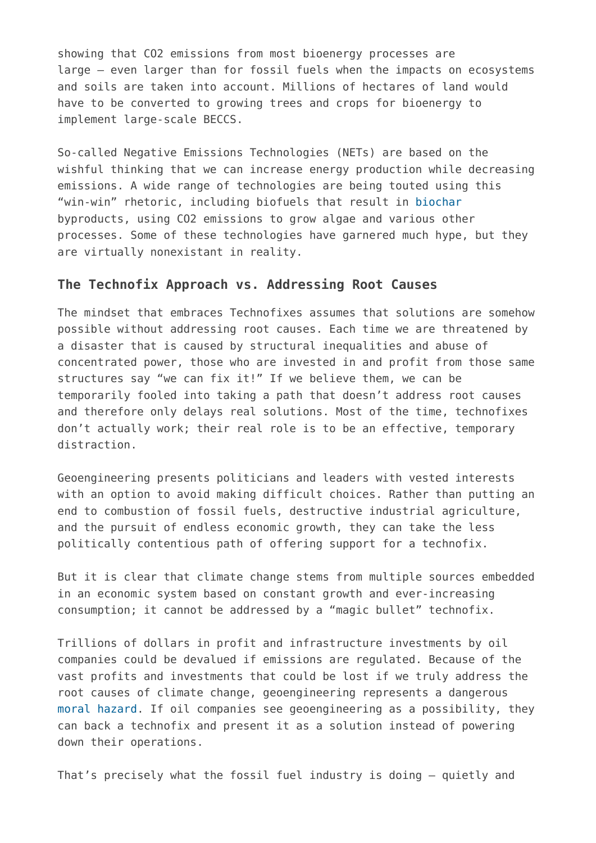showing that CO2 emissions from most bioenergy processes are large – even larger than for fossil fuels when the impacts on ecosystems and soils are taken into account. Millions of hectares of land would have to be converted to growing trees and crops for bioenergy to implement large-scale BECCS.

So-called Negative Emissions Technologies (NETs) are based on the wishful thinking that we can increase energy production while decreasing emissions. A wide range of technologies are being touted using this "win-win" rhetoric, including biofuels that result in [biochar](http://www.geoengineeringmonitor.org/cat/technologies/carbon-dioxide-demoval/biochar/) byproducts, using CO2 emissions to grow algae and various other processes. Some of these technologies have garnered much hype, but they are virtually nonexistant in reality.

### **The Technofix Approach vs. Addressing Root Causes**

The mindset that embraces Technofixes assumes that solutions are somehow possible without addressing root causes. Each time we are threatened by a disaster that is caused by structural inequalities and abuse of concentrated power, those who are invested in and profit from those same structures say "we can fix it!" If we believe them, we can be temporarily fooled into taking a path that doesn't address root causes and therefore only delays real solutions. Most of the time, technofixes don't actually work; their real role is to be an effective, temporary distraction.

Geoengineering presents politicians and leaders with vested interests with an option to avoid making difficult choices. Rather than putting an end to combustion of fossil fuels, destructive industrial agriculture, and the pursuit of endless economic growth, they can take the less politically contentious path of offering support for a technofix.

But it is clear that climate change stems from multiple sources embedded in an economic system based on constant growth and ever-increasing consumption; it cannot be addressed by a "magic bullet" technofix.

Trillions of dollars in profit and infrastructure investments by oil companies could be devalued if emissions are regulated. Because of the vast profits and investments that could be lost if we truly address the root causes of climate change, geoengineering represents a dangerous [moral hazard.](http://www.geoengineeringmonitor.org/cat/reasons_to_oppose/moral_hazard/) If oil companies see geoengineering as a possibility, they can back a technofix and present it as a solution instead of powering down their operations.

That's precisely what the fossil fuel industry is doing – quietly and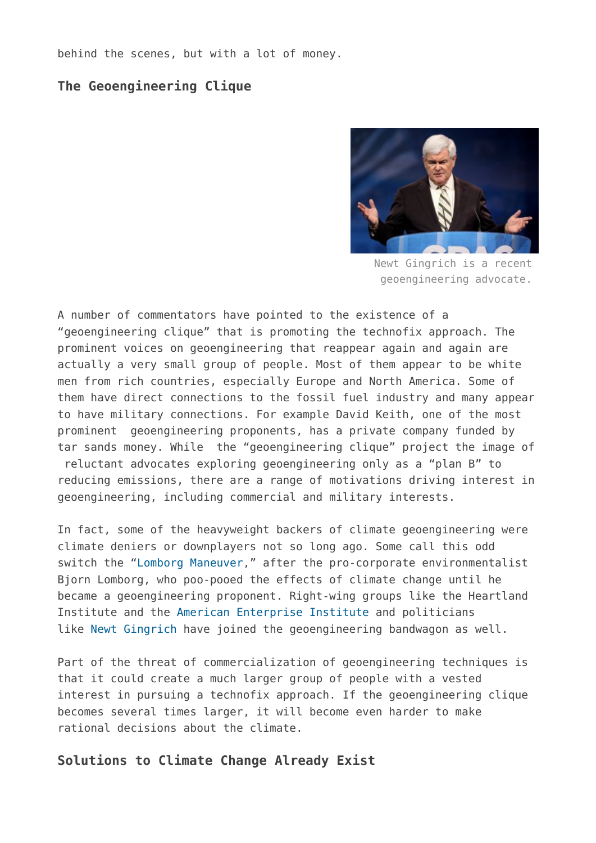behind the scenes, but with a lot of money.

# **The Geoengineering Clique**



Newt Gingrich is a recent geoengineering advocate.

A number of commentators have pointed to the existence of a "geoengineering clique" that is promoting the technofix approach. The prominent voices on geoengineering that reappear again and again are actually a very small group of people. Most of them appear to be white men from rich countries, especially Europe and North America. Some of them have direct connections to the fossil fuel industry and many appear to have military connections. For example David Keith, one of the most prominent geoengineering proponents, has a private company funded by tar sands money. While the "geoengineering clique" project the image of reluctant advocates exploring geoengineering only as a "plan B" to reducing emissions, there are a range of motivations driving interest in geoengineering, including commercial and military interests.

In fact, some of the heavyweight backers of climate geoengineering were climate deniers or downplayers not so long ago. Some call this odd switch the "[Lomborg Maneuver,](http://www.geoengineeringmonitor.org/2013/10/strange-bedfellows-climate-change-denial-and-support-for-geoengineering/)" after the pro-corporate environmentalist Bjorn Lomborg, who poo-pooed the effects of climate change until he became a geoengineering proponent. Right-wing groups like the Heartland Institute and the [American Enterprise Institute](http://www.aei.org/publication/time-for-the-gop-to-take-the-lead-on-climate-change/) and politicians like [Newt Gingrich](http://humanevents.com/2008/06/03/stop-the-green-pig-defeat-the-boxerwarnerlieberman-green-pork-bill-capping-american-jobs-and-trading-americas-future/) have joined the geoengineering bandwagon as well.

Part of the threat of commercialization of geoengineering techniques is that it could create a much larger group of people with a vested interest in pursuing a technofix approach. If the geoengineering clique becomes several times larger, it will become even harder to make rational decisions about the climate.

### **Solutions to Climate Change Already Exist**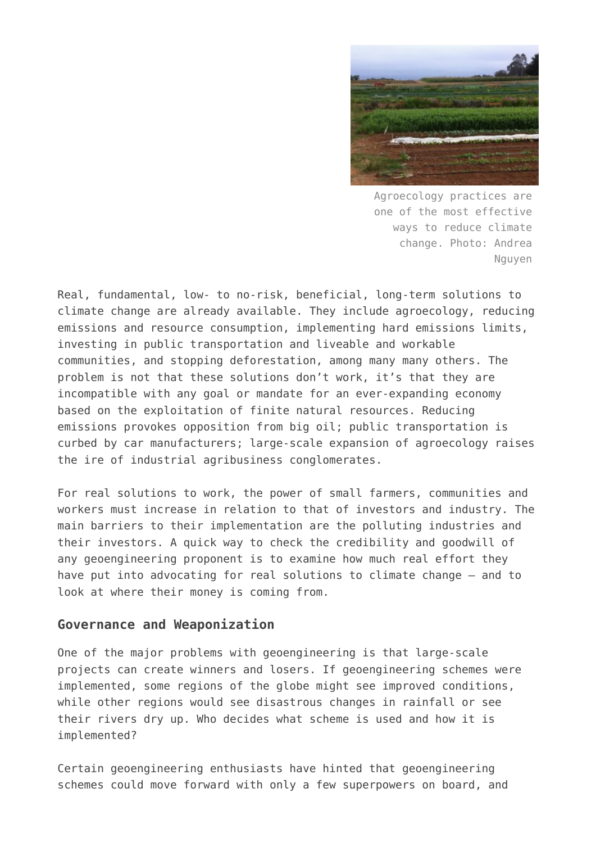

Agroecology practices are one of the most effective ways to reduce climate change. Photo: Andrea Nguyen

Real, fundamental, low- to no-risk, beneficial, long-term solutions to climate change are already available. They include agroecology, reducing emissions and resource consumption, implementing hard emissions limits, investing in public transportation and liveable and workable communities, and stopping deforestation, among many many others. The problem is not that these solutions don't work, it's that they are incompatible with any goal or mandate for an ever-expanding economy based on the exploitation of finite natural resources. Reducing emissions provokes opposition from big oil; public transportation is curbed by car manufacturers; large-scale expansion of agroecology raises the ire of industrial agribusiness conglomerates.

For real solutions to work, the power of small farmers, communities and workers must increase in relation to that of investors and industry. The main barriers to their implementation are the polluting industries and their investors. A quick way to check the credibility and goodwill of any geoengineering proponent is to examine how much real effort they have put into advocating for real solutions to climate change – and to look at where their money is coming from.

#### **Governance and Weaponization**

One of the major problems with geoengineering is that large-scale projects can create winners and losers. If geoengineering schemes were implemented, some regions of the globe might see improved conditions, while other regions would see disastrous changes in rainfall or see their rivers dry up. Who decides what scheme is used and how it is implemented?

Certain geoengineering enthusiasts have hinted that geoengineering schemes could move forward with only a few superpowers on board, and